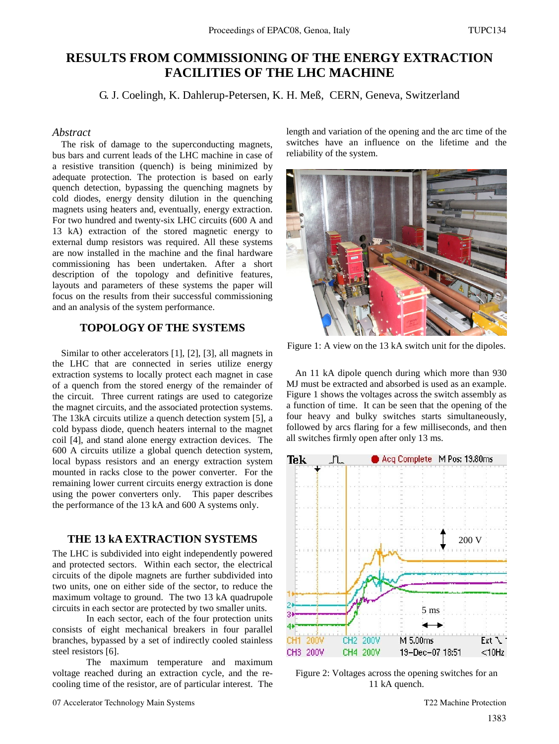# **RESULTS FROM COMMISSIONING OF THE ENERGY EXTRACTION FACILITIES OF THE LHC MACHINE**

G. J. Coelingh, K. Dahlerup-Petersen, K. H. Meß, CERN, Geneva, Switzerland

# *Abstract*

The risk of damage to the superconducting magnets, bus bars and current leads of the LHC machine in case of a resistive transition (quench) is being minimized by adequate protection. The protection is based on early quench detection, bypassing the quenching magnets by cold diodes, energy density dilution in the quenching magnets using heaters and, eventually, energy extraction. For two hundred and twenty-six LHC circuits (600 A and 13 kA) extraction of the stored magnetic energy to external dump resistors was required. All these systems are now installed in the machine and the final hardware commissioning has been undertaken. After a short description of the topology and definitive features, layouts and parameters of these systems the paper will focus on the results from their successful commissioning and an analysis of the system performance.

# **TOPOLOGY OF THE SYSTEMS**

Similar to other accelerators [1], [2], [3], all magnets in the LHC that are connected in series utilize energy extraction systems to locally protect each magnet in case of a quench from the stored energy of the remainder of the circuit. Three current ratings are used to categorize the magnet circuits, and the associated protection systems. The 13kA circuits utilize a quench detection system [5], a cold bypass diode, quench heaters internal to the magnet coil [4], and stand alone energy extraction devices. The 600 A circuits utilize a global quench detection system, local bypass resistors and an energy extraction system mounted in racks close to the power converter. For the remaining lower current circuits energy extraction is done using the power converters only. This paper describes the performance of the 13 kA and 600 A systems only.

### **THE 13 kA EXTRACTION SYSTEMS**

The LHC is subdivided into eight independently powered and protected sectors. Within each sector, the electrical circuits of the dipole magnets are further subdivided into two units, one on either side of the sector, to reduce the maximum voltage to ground. The two 13 kA quadrupole circuits in each sector are protected by two smaller units.

 In each sector, each of the four protection units consists of eight mechanical breakers in four parallel branches, bypassed by a set of indirectly cooled stainless steel resistors [6].

 The maximum temperature and maximum voltage reached during an extraction cycle, and the recooling time of the resistor, are of particular interest. The length and variation of the opening and the arc time of the switches have an influence on the lifetime and the reliability of the system.



Figure 1: A view on the 13 kA switch unit for the dipoles.

An 11 kA dipole quench during which more than 930 MJ must be extracted and absorbed is used as an example. Figure 1 shows the voltages across the switch assembly as a function of time. It can be seen that the opening of the four heavy and bulky switches starts simultaneously, followed by arcs flaring for a few milliseconds, and then all switches firmly open after only 13 ms.



Figure 2: Voltages across the opening switches for an 11 kA quench.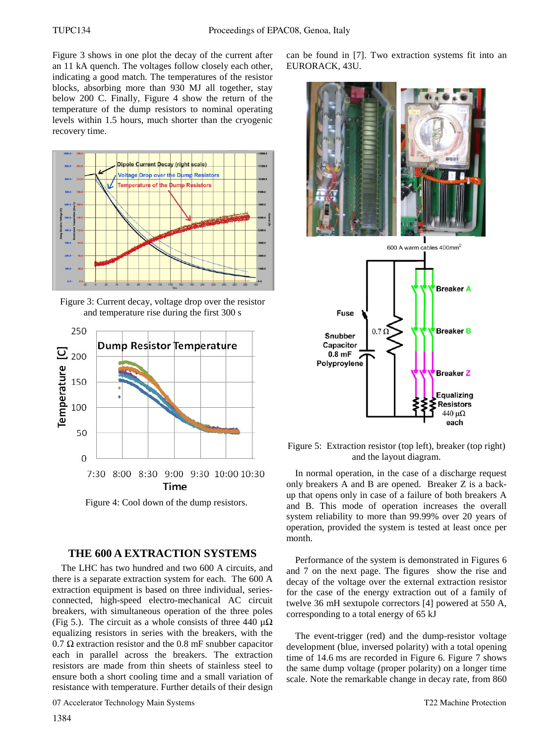Figure 3 shows in one plot the decay of the current after an 11 kA quench. The voltages follow closely each other, indicating a good match. The temperatures of the resistor blocks, absorbing more than 930 MJ all together, stay below 200 C. Finally, Figure 4 show the return of the temperature of the dump resistors to nominal operating levels within 1.5 hours, much shorter than the cryogenic recovery time.



Figure 3: Current decay, voltage drop over the resistor and temperature rise during the first 300 s



Figure 4: Cool down of the dump resistors.

## **THE 600 A EXTRACTION SYSTEMS**

The LHC has two hundred and two 600 A circuits, and there is a separate extraction system for each. The 600 A extraction equipment is based on three individual, seriesconnected, high-speed electro-mechanical AC circuit breakers, with simultaneous operation of the three poles (Fig 5.). The circuit as a whole consists of three 440  $\mu\Omega$ equalizing resistors in series with the breakers, with the  $0.7 \Omega$  extraction resistor and the 0.8 mF snubber capacitor each in parallel across the breakers. The extraction resistors are made from thin sheets of stainless steel to ensure both a short cooling time and a small variation of resistance with temperature. Further details of their design can be found in [7]. Two extraction systems fit into an EURORACK, 43U.



Figure 5: Extraction resistor (top left), breaker (top right) and the layout diagram.

In normal operation, in the case of a discharge request only breakers A and B are opened. Breaker Z is a backup that opens only in case of a failure of both breakers A and B. This mode of operation increases the overall system reliability to more than 99.99% over 20 years of operation, provided the system is tested at least once per month.

Performance of the system is demonstrated in Figures 6 and 7 on the next page. The figures show the rise and decay of the voltage over the external extraction resistor for the case of the energy extraction out of a family of twelve 36 mH sextupole correctors [4] powered at 550 A, corresponding to a total energy of 65 kJ

The event-trigger (red) and the dump-resistor voltage development (blue, inversed polarity) with a total opening time of 14.6 ms are recorded in Figure 6. Figure 7 shows the same dump voltage (proper polarity) on a longer time scale. Note the remarkable change in decay rate, from 860